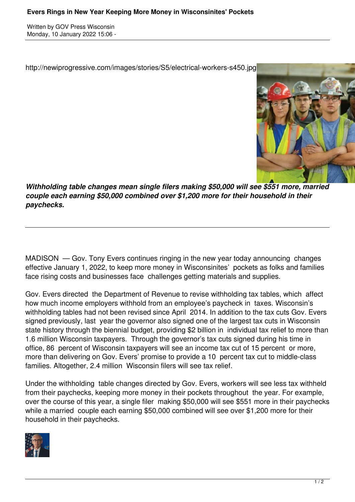Written by GOV Press Wisconsin Monday, 10 January 2022 15:06 -

http://newiprogressive.com/images/stories/S5/electrical-workers-s450.jpg



*Withholding table changes mean single filers making \$50,000 will see \$551 more, married couple each earning \$50,000 combined over \$1,200 more for their household in their paychecks.*

MADISON — Gov. Tony Evers continues ringing in the new year today announcing changes effective January 1, 2022, to keep more money in Wisconsinites' pockets as folks and families face rising costs and businesses face challenges getting materials and supplies.

Gov. Evers directed the Department of Revenue to revise withholding tax tables, which affect how much income employers withhold from an employee's paycheck in taxes. Wisconsin's withholding tables had not been revised since April 2014. In addition to the tax cuts Gov. Evers signed previously, last year the governor also signed one of the largest tax cuts in Wisconsin state history through the biennial budget, providing \$2 billion in individual tax relief to more than 1.6 million Wisconsin taxpayers. Through the governor's tax cuts signed during his time in office, 86 percent of Wisconsin taxpayers will see an income tax cut of 15 percent or more, more than delivering on Gov. Evers' promise to provide a 10 percent tax cut to middle-class families. Altogether, 2.4 million Wisconsin filers will see tax relief.

Under the withholding table changes directed by Gov. Evers, workers will see less tax withheld from their paychecks, keeping more money in their pockets throughout the year. For example, over the course of this year, a single filer making \$50,000 will see \$551 more in their paychecks while a married couple each earning \$50,000 combined will see over \$1,200 more for their household in their paychecks.